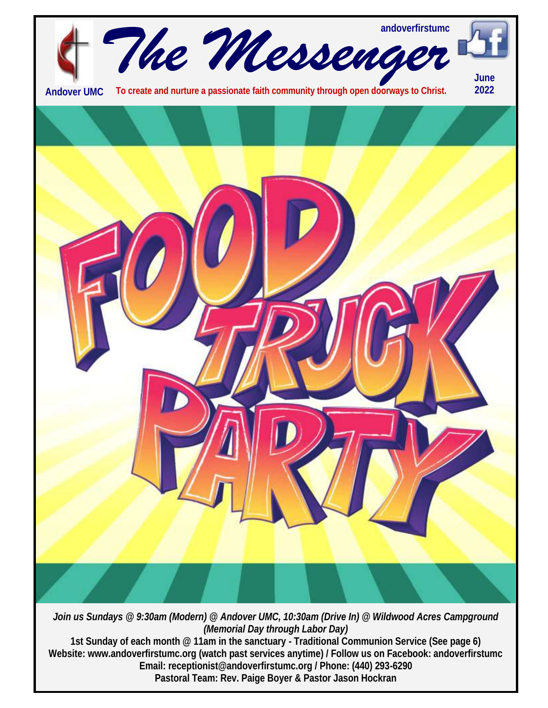

*(Memorial Day through Labor Day)* **1st Sunday of each month @ 11am in the sanctuary - Traditional Communion Service (See page 6) Website: www.andoverfirstumc.org (watch past services anytime) / Follow us on Facebook: andoverfirstumc Email: receptionist@andoverfirstumc.org / Phone: (440) 293-6290 Pastoral Team: Rev. Paige Boyer & Pastor Jason Hockran**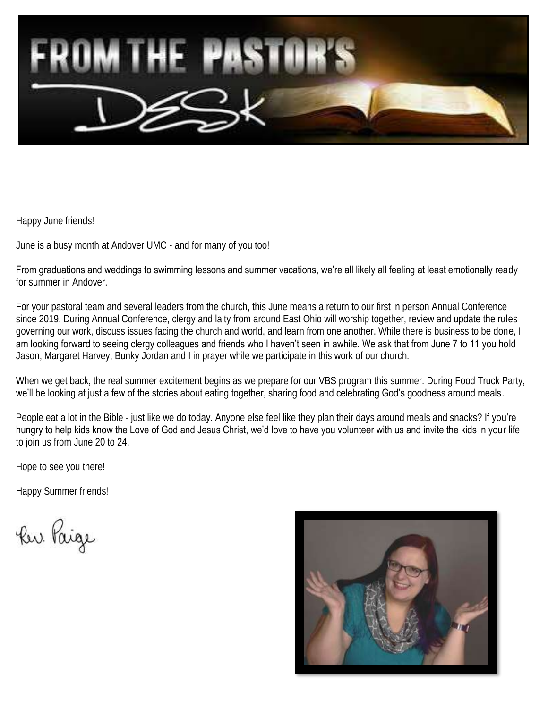

Happy June friends!

June is a busy month at Andover UMC - and for many of you too!

From graduations and weddings to swimming lessons and summer vacations, we're all likely all feeling at least emotionally ready for summer in Andover.

For your pastoral team and several leaders from the church, this June means a return to our first in person Annual Conference since 2019. During Annual Conference, clergy and laity from around East Ohio will worship together, review and update the rules governing our work, discuss issues facing the church and world, and learn from one another. While there is business to be done, I am looking forward to seeing clergy colleagues and friends who I haven't seen in awhile. We ask that from June 7 to 11 you hold Jason, Margaret Harvey, Bunky Jordan and I in prayer while we participate in this work of our church.

When we get back, the real summer excitement begins as we prepare for our VBS program this summer. During Food Truck Party, we'll be looking at just a few of the stories about eating together, sharing food and celebrating God's goodness around meals.

People eat a lot in the Bible - just like we do today. Anyone else feel like they plan their days around meals and snacks? If you're hungry to help kids know the Love of God and Jesus Christ, we'd love to have you volunteer with us and invite the kids in your life to join us from June 20 to 24.

Hope to see you there!

Happy Summer friends!

Ru. Paige

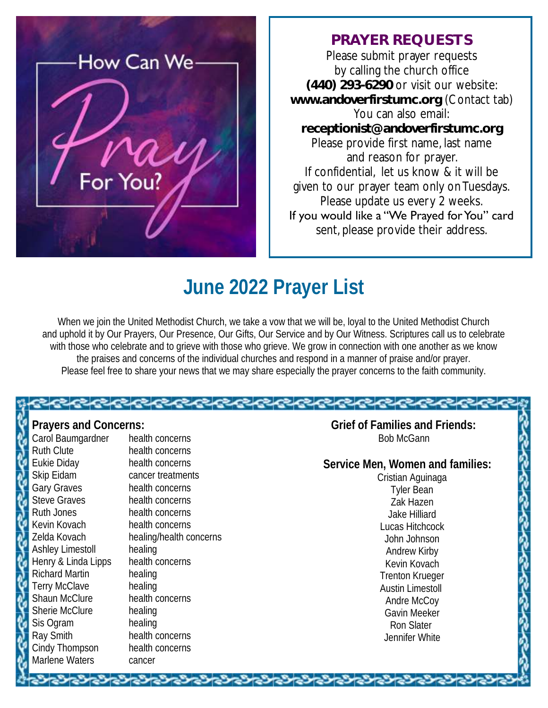

#### **PRAYER REQUESTS**

Please submit prayer requests by calling the church office **(440) 293-6290** or visit our website: **www.andoverfirstumc.org** (Contact tab) You can also email: **receptionist@andoverfirstumc.org** Please provide first name, last name and reason for prayer. If confidential, let us know & it will be given to our prayer team only on Tuesdays. Please update us every 2 weeks. If you would like a "We Prayed for You" card sent, please provide their address.

## **June 2022 Prayer List**

When we join the United Methodist Church, we take a vow that we will be, loyal to the United Methodist Church and uphold it by Our Prayers, Our Presence, Our Gifts, Our Service and by Our Witness. Scriptures call us to celebrate with those who celebrate and to grieve with those who grieve. We grow in connection with one another as we know the praises and concerns of the individual churches and respond in a manner of praise and/or prayer. Please feel free to share your news that we may share especially the prayer concerns to the faith community.

くうくうくうくうくうくうくうくうくうくうくう

**Prayers and Concerns:** Carol Baumgardner health concerns Ruth Clute health concerns Eukie Diday health concerns Skip Eidam cancer treatments Gary Graves health concerns Steve Graves health concerns Ruth Jones health concerns Kevin Kovach health concerns Zelda Kovach healing/health concerns Ashley Limestoll healing Henry & Linda Lipps health concerns Richard Martin healing Terry McClave healing Shaun McClure health concerns Sherie McClure healing Sis Ogram healing Ray Smith health concerns Cindy Thompson health concerns Marlene Waters **cancer** 

 **Grief of Families and Friends:** Bob McGann

 **Service Men, Women and families:**  Cristian Aguinaga Tyler Bean Zak Hazen Jake Hilliard Lucas Hitchcock John Johnson Andrew Kirby Kevin Kovach Trenton Krueger Austin Limestoll Andre McCoy Gavin Meeker Ron Slater Jennifer White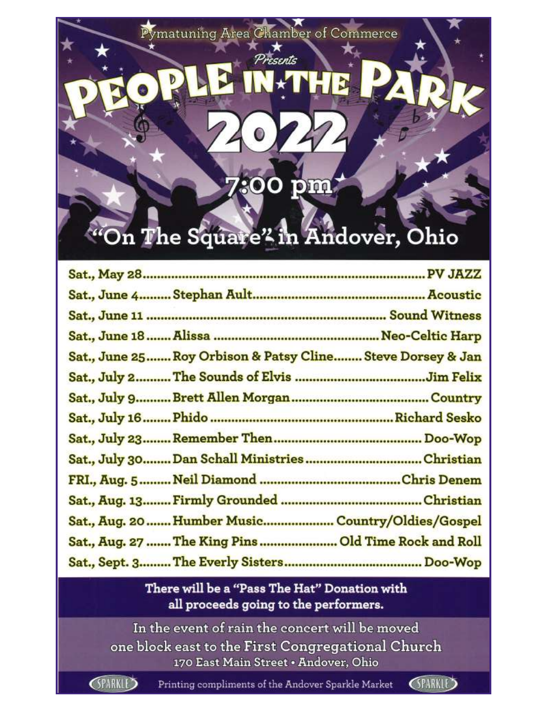Pymatuning Area Chamber of Commerce

Presents

# "On The Square" in Andover, Ohio

 $\mathbf{O}\mathbf{O}$ 

pm

| Sat., June 25 Roy Orbison & Patsy Cline Steve Dorsey & Jan |  |
|------------------------------------------------------------|--|
|                                                            |  |
|                                                            |  |
|                                                            |  |
|                                                            |  |
| Sat., July 30 Dan Schall MinistriesChristian               |  |
|                                                            |  |
|                                                            |  |
| Sat., Aug. 20  Humber Music Country/Oldies/Gospel          |  |
| Sat., Aug. 27  The King Pins  Old Time Rock and Roll       |  |
|                                                            |  |

#### There will be a "Pass The Hat" Donation with all proceeds going to the performers.

In the event of rain the concert will be moved one block east to the First Congregational Church 170 East Main Street . Andover, Ohio

**GPARKLE** 

Printing compliments of the Andover Sparkle Market

**SPARKLE>**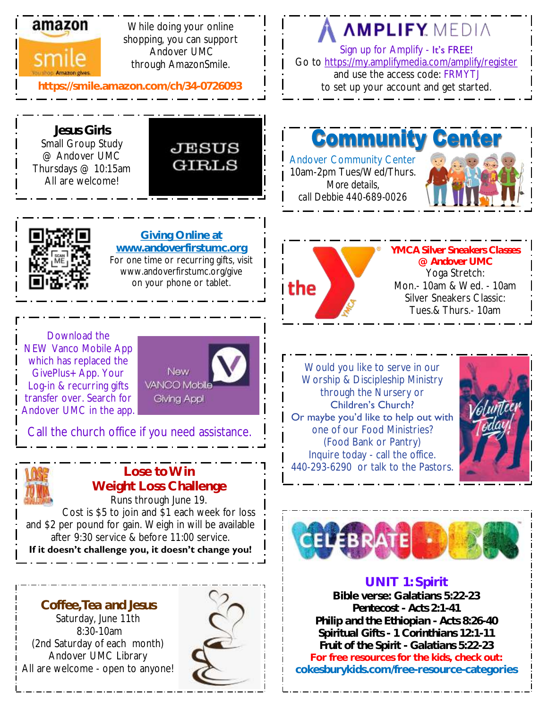

While doing your online shopping, you can support Andover UMC through AmazonSmile.

#### **https://smile.amazon.com/ch/34-0726093**

## **AMPLIFY MEDIA**

Sign up for Amplify - It's FREE! Go to <https://my.amplifymedia.com/amplify/register> and use the access code: FRMYTJ to set up your account and get started.

*Jesus Girls*  Small Group Study @ Andover UMC Thursdays @ 10:15am All are welcome!



**Giving Online at www.andoverfirstumc.org** For one time or recurring gifts, visit www.andoverfirstumc.org/give on your phone or tablet.

**Commun** 

Andover Community Center 10am-2pm Tues/Wed/Thurs. *More details, call Debbie 440-689-0026*





*YMCA Silver Sneakers Classes @ Andover UMC* Yoga Stretch: Mon.- 10am & Wed. - 10am Silver Sneakers Classic: Tues.& Thurs.- 10am

Download the NEW Vanco Mobile App which has replaced the GivePlus+ App. Your Log-in & recurring gifts transfer over. Search for Andover UMC in the app.



Call the church office if you need assistance.



## **Weight Loss Challenge** Runs through June 19.

Cost is \$5 to join and \$1 each week for loss and \$2 per pound for gain. Weigh in will be available after 9:30 service & before 11:00 service. **If it doesn't challenge you, it doesn't change you!**

*Coffee, Tea and Jesus*

Saturday, June 11th 8:30-10am (2nd Saturday of each month) Andover UMC Library All are welcome - open to anyone!



Would you like to serve in our Worship & Discipleship Ministry through the Nursery or Children's Church? Or maybe you'd like to help out with one of our Food Ministries? (Food Bank or Pantry) Inquire today - call the office.  $\frac{1}{2}$  **Lose to Win**  $\frac{1}{2}$  **1 1 440-293-6290** or talk to the Pastors.





#### **UNIT 1: Spirit Bible verse: Galatians 5:22-23**  *Pentecost - Acts 2:1-41 Philip and the Ethiopian - Acts 8:26-40 Spiritual Gifts - 1 Corinthians 12:1-11 Fruit of the Spirit - Galatians 5:22-23* **For free resources for the kids, check out: cokesburykids.com/free-resource-categories**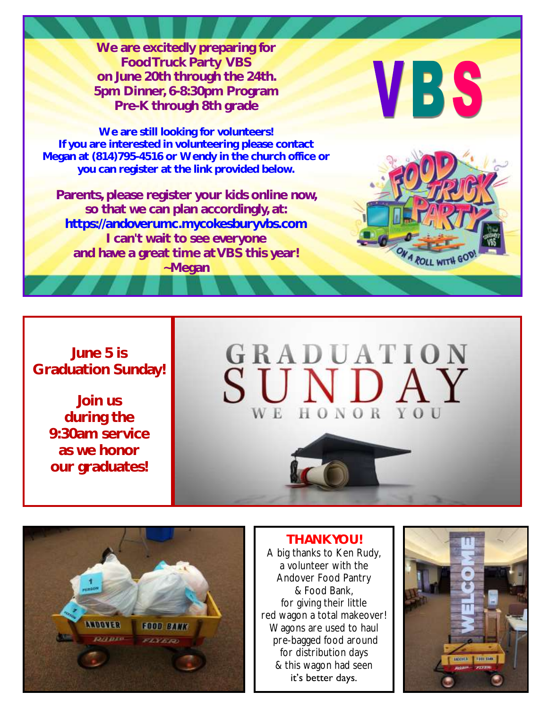**We are excitedly preparing for Food Truck Party VBS on June 20th through the 24th. 5pm Dinner, 6-8:30pm Program Pre-K through 8th grade**

**We are still looking for volunteers! If you are interested in volunteering please contact Megan at (814)795-4516 or Wendy in the church office or you can register at the link provided below.** 

**Parents, please register your kids online now, so that we can plan accordingly, at: https://andoverumc.mycokesburyvbs.com I can't wait to see everyone and have a great time at VBS this year! ~Megan**

# **VBS**





#### *THANK YOU!* A big thanks to Ken Rudy, a volunteer with the Andover Food Pantry & Food Bank, for giving their little red wagon a total makeover! Wagons are used to haul pre-bagged food around for distribution days & this wagon had seen it's better days.



### **June 5 is Graduation Sunday!**

**Join us during the 9:30am service as we honor our graduates!**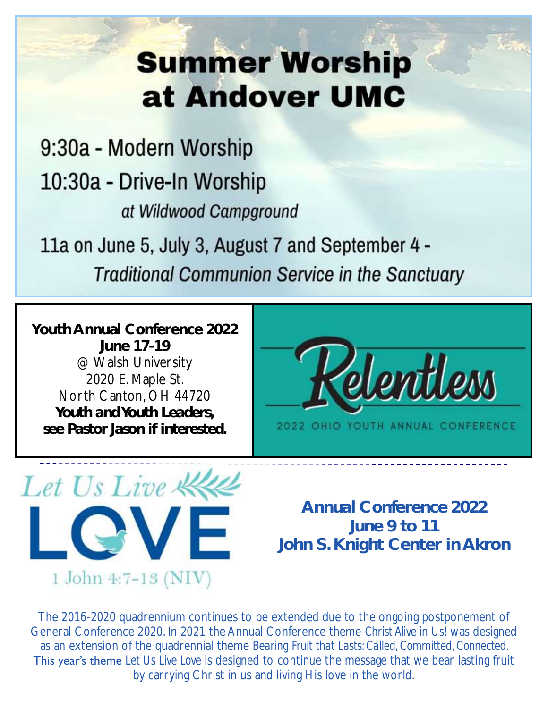# **Summer Worship** at Andover UMC

# 9:30a - Modern Worship 10:30a - Drive-In Worship at Wildwood Campground

11a on June 5, July 3, August 7 and September 4 -**Traditional Communion Service in the Sanctuary** 

**Youth Annual Conference 2022 June 17-19** @ Walsh University 2020 E. Maple St. North Canton, OH 44720 *Youth and Youth Leaders, see Pastor Jason if interested.*





**Annual Conference 2022 June 9 to 11 John S. Knight Center in Akron**

The 2016-2020 quadrennium continues to be extended due to the ongoing postponement of General Conference 2020. In 2021 the Annual Conference theme *Christ Alive in Us!* was designed as an extension of the quadrennial theme *Bearing Fruit that Lasts: Called, Committed, Connected*. This year's theme *Let Us Live Love* is designed to continue the message that we bear lasting fruit by carrying Christ in us and living His love in the world.